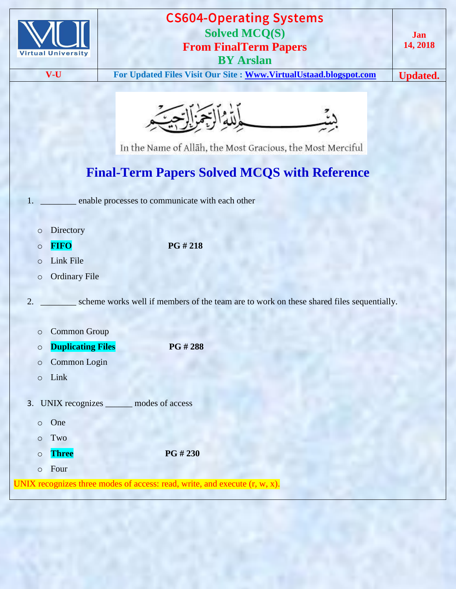| <b>Virtual University</b>                      | <b>CS604-Operating Systems</b><br><b>Solved MCQ(S)</b><br><b>From FinalTerm Papers</b><br><b>BY Arslan</b>                           | Jan<br>14, 2018 |  |  |  |
|------------------------------------------------|--------------------------------------------------------------------------------------------------------------------------------------|-----------------|--|--|--|
| V-U                                            | For Updated Files Visit Our Site : Www.VirtualUstaad.blogspot.com                                                                    | <b>Updated.</b> |  |  |  |
|                                                | بالله الاجمالات<br>In the Name of Allāh, the Most Gracious, the Most Merciful<br><b>Final-Term Papers Solved MCQS with Reference</b> |                 |  |  |  |
|                                                | enable processes to communicate with each other                                                                                      |                 |  |  |  |
| Directory<br>$\circ$<br><b>FIFO</b><br>$\circ$ | PG # 218                                                                                                                             |                 |  |  |  |
| Link File<br>$\circ$                           |                                                                                                                                      |                 |  |  |  |
| $\circ$                                        | <b>Ordinary File</b>                                                                                                                 |                 |  |  |  |
| $\overline{2}$ .                               | scheme works well if members of the team are to work on these shared files sequentially.                                             |                 |  |  |  |
| O                                              | <b>Common Group</b>                                                                                                                  |                 |  |  |  |
| $\circ$                                        | <b>Duplicating Files</b><br>PG # 288                                                                                                 |                 |  |  |  |
| $\circ$                                        | Common Login                                                                                                                         |                 |  |  |  |
| Link<br>$\circ$                                |                                                                                                                                      |                 |  |  |  |
| UNIX recognizes<br>3.                          | modes of access                                                                                                                      |                 |  |  |  |
| One<br>$\circ$                                 |                                                                                                                                      |                 |  |  |  |
| Two<br>$\circ$                                 |                                                                                                                                      |                 |  |  |  |
| <b>Three</b><br>$\circ$                        | PG # 230                                                                                                                             |                 |  |  |  |
| Four<br>$\circ$                                | UNIX recognizes three modes of access: read, write, and execute $(r, w, x)$ .                                                        |                 |  |  |  |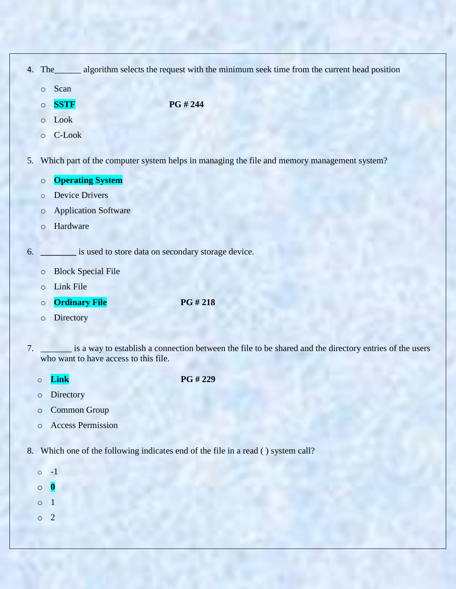| 4. | The algorithm selects the request with the minimum seek time from the current head position |                                                                                                     |  |  |  |  |
|----|---------------------------------------------------------------------------------------------|-----------------------------------------------------------------------------------------------------|--|--|--|--|
|    | $\circ$                                                                                     | Scan                                                                                                |  |  |  |  |
|    | $\circ$                                                                                     | PG # 244<br><b>SSTF</b>                                                                             |  |  |  |  |
|    | $\circ$                                                                                     | Look                                                                                                |  |  |  |  |
|    | $\circ$                                                                                     | C-Look                                                                                              |  |  |  |  |
| 5. | Which part of the computer system helps in managing the file and memory management system?  |                                                                                                     |  |  |  |  |
|    | $\circ$                                                                                     | <b>Operating System</b>                                                                             |  |  |  |  |
|    | $\circ$                                                                                     | <b>Device Drivers</b>                                                                               |  |  |  |  |
|    | $\circ$                                                                                     | <b>Application Software</b>                                                                         |  |  |  |  |
|    | $\circ$                                                                                     | Hardware                                                                                            |  |  |  |  |
| 6. | is used to store data on secondary storage device.                                          |                                                                                                     |  |  |  |  |
|    | $\circ$                                                                                     | <b>Block Special File</b>                                                                           |  |  |  |  |
|    | $\circ$                                                                                     | Link File                                                                                           |  |  |  |  |
|    | $\circ$                                                                                     | PG #218<br><b>Ordinary File</b>                                                                     |  |  |  |  |
|    | $\circ$                                                                                     | Directory                                                                                           |  |  |  |  |
|    |                                                                                             | is a weave to astablish a connection between the file to be showed and the dimenteur outside of the |  |  |  |  |

- 7. \_\_\_\_\_\_\_ is a way to establish a connection between the file to be shared and the directory entries of the users who want to have access to this file.
	- o **Link PG # 229**
	- o Directory
	- o Common Group
	- o Access Permission
- 8. Which one of the following indicates end of the file in a read ( ) system call?
	- o -1 o **0**
	- o 1
	- o 2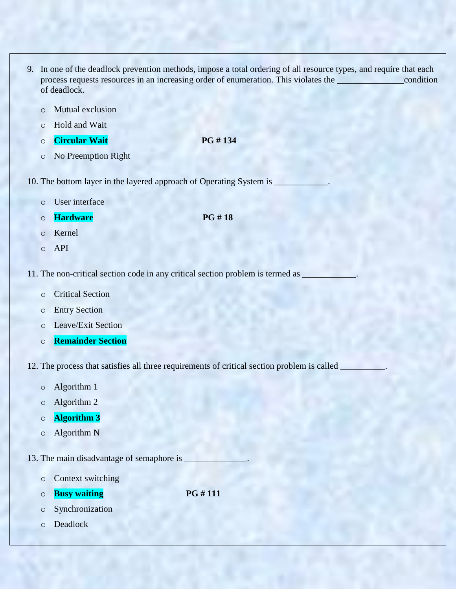- 9. In one of the deadlock prevention methods, impose a total ordering of all resource types, and require that each process requests resources in an increasing order of enumeration. This violates the \_\_\_\_\_\_\_\_\_\_\_\_\_\_\_condition of deadlock.
	- o Mutual exclusion
	- o Hold and Wait
	- o **Circular Wait PG # 134**
	- o No Preemption Right
- 10. The bottom layer in the layered approach of Operating System is \_
	- o User interface
	- o **Hardware PG # 18**
	- o Kernel
	- o API
- 11. The non-critical section code in any critical section problem is termed as  $\Box$ 
	- o Critical Section
	- o Entry Section
	- o Leave/Exit Section
	- o **Remainder Section**
- 12. The process that satisfies all three requirements of critical section problem is called \_
	- o Algorithm 1
	- o Algorithm 2
	- o **Algorithm 3**
	- o Algorithm N

13. The main disadvantage of semaphore is

- o Context switching
- $\circ$  **Busy waiting PG # 111**
- o Synchronization
- o Deadlock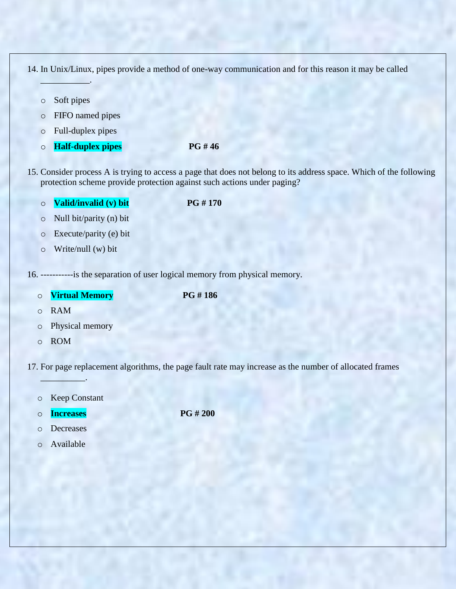14. In Unix/Linux, pipes provide a method of one-way communication and for this reason it may be called

o Soft pipes

 $\mathcal{L}=\mathcal{L}$ 

- o FIFO named pipes
- o Full-duplex pipes
- o **Half-duplex pipes PG # 46**
- 15. Consider process A is trying to access a page that does not belong to its address space. Which of the following protection scheme provide protection against such actions under paging?
	- o **Valid/invalid (v) bit PG # 170**

- o Null bit/parity (n) bit
- o Execute/parity (e) bit
- o Write/null (w) bit

16. -----------is the separation of user logical memory from physical memory.

o **Virtual Memory PG # 186**

- o RAM
- o Physical memory
- o ROM

17. For page replacement algorithms, the page fault rate may increase as the number of allocated frames

o Keep Constant

 $\qquad \qquad \blacksquare$ 

o **Increases PG # 200**

- o Decreases
- o Available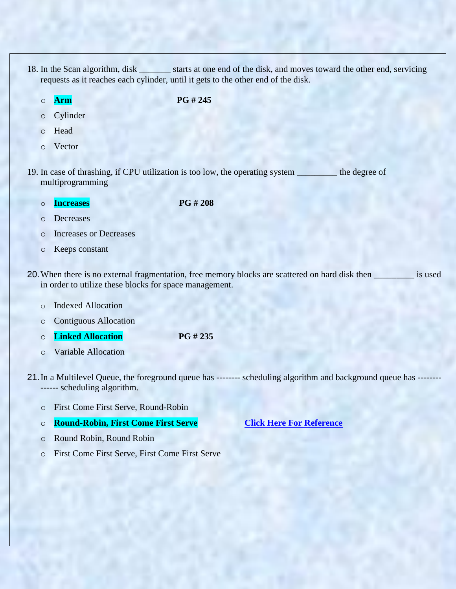- 18. In the Scan algorithm, disk starts at one end of the disk, and moves toward the other end, servicing requests as it reaches each cylinder, until it gets to the other end of the disk.
	-

o **Arm PG # 245**

- o Cylinder
- o Head
- o Vector
- 19. In case of thrashing, if CPU utilization is too low, the operating system \_\_\_\_\_\_\_\_\_ the degree of multiprogramming
	- o **Increases PG # 208**

- o Decreases
- o Increases or Decreases
- o Keeps constant
- 20.When there is no external fragmentation, free memory blocks are scattered on hard disk then \_\_\_\_\_\_\_\_\_ is used in order to utilize these blocks for space management.
	- o Indexed Allocation
	- o Contiguous Allocation
	- o **Linked Allocation PG # 235**
	- o Variable Allocation
- 21.In a Multilevel Queue, the foreground queue has -------- scheduling algorithm and background queue has -------- ------ scheduling algorithm.
	- o First Come First Serve, Round-Robin

#### o **Round-Robin, First Come First Serve [Click Here For Reference](http://www.cs.columbia.edu/~junfeng/09sp-w4118/lectures/l12-sched.ppt)**

- o Round Robin, Round Robin
- o First Come First Serve, First Come First Serve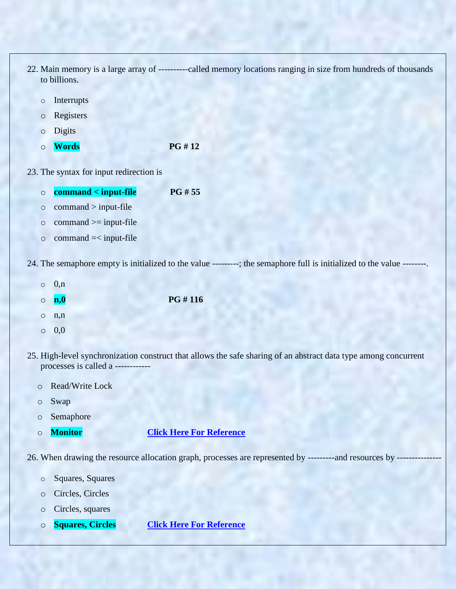- 22. Main memory is a large array of ----------called memory locations ranging in size from hundreds of thousands to billions.
	- o Interrupts
	- o Registers
	- o Digits
	- o **Words PG # 12**

23. The syntax for input redirection is

 $\circ$  command  $=\leq$  input-file

| $\circ$ | $command <$ -input-file        | PG #55 |
|---------|--------------------------------|--------|
|         | $\circ$ command $>$ input-file |        |
| $\circ$ | $command \ge= input-file$      |        |

24. The semaphore empty is initialized to the value ---------; the semaphore full is initialized to the value --------.

- $\circ$  0,n o **n,0 PG # 116**  $\circ$  n,n
- $\circ$  0.0
- 25. High-level synchronization construct that allows the safe sharing of an abstract data type among concurrent processes is called a -----------
	- o Read/Write Lock
	- o Swap
	- o Semaphore
	-

# o **Monitor [Click Here For Reference](https://www.google.com.pk/url?sa=t&rct=j&q=&esrc=s&source=web&cd=3&cad=rja&uact=8&ved=0ahUKEwjE4ePsv8LVAhWDTCYKHRmODG0QFgguMAI&url=http%3A%2F%2Fwww.cs.kent.edu%2F~farrell%2Fosf03%2Flectures%2Fch7-2up&usg=AFQjCNHfUWGJRcsqHSiixXAQ1S7Jb2WwVg)**

26. When drawing the resource allocation graph, processes are represented by ----------and resources by ------

- o Squares, Squares
- o Circles, Circles
- o Circles, squares
- o **Squares, Circles [Click Here For Reference](https://books.google.com.pk/books?id=hR6rVrfTe58C&pg=SA2-PA4&lpg=SA2-PA4&dq=resource+allocation+graph,+processes+are+represented+by&source=bl&ots=Z1t2XIEifG&sig=M0Ntfx6rJwaJkSRJlMOiHtl_kCA&hl=en&sa=X&ved=0ahUKEwiI-pidv8LVAhVIRyYKHVqnAzwQ6AEIVTAI#v=onepage&q=resource%20allocation%20graph%2C%20processes%20are%20represented%20by&f=false)**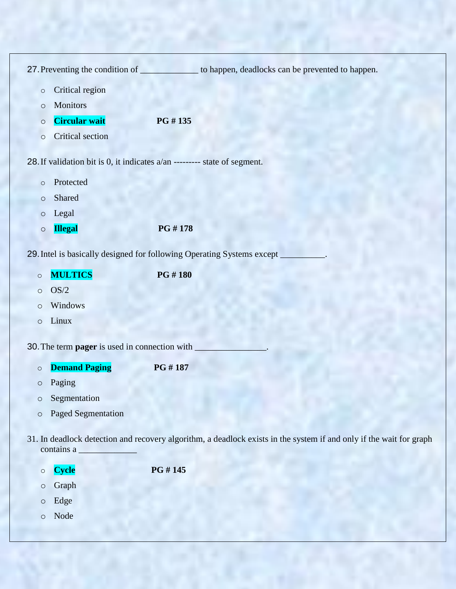| 27. Preventing the condition of ________________ to happen, deadlocks can be prevented to happen.                                 |                                                                        |         |  |  |  |
|-----------------------------------------------------------------------------------------------------------------------------------|------------------------------------------------------------------------|---------|--|--|--|
| $\circ$                                                                                                                           | Critical region                                                        |         |  |  |  |
| $\circ$                                                                                                                           | <b>Monitors</b>                                                        |         |  |  |  |
| $\circ$                                                                                                                           | <b>Circular wait</b>                                                   | PG #135 |  |  |  |
| $\circ$                                                                                                                           | Critical section                                                       |         |  |  |  |
| 28. If validation bit is 0, it indicates a/an --------- state of segment.                                                         |                                                                        |         |  |  |  |
|                                                                                                                                   |                                                                        |         |  |  |  |
| $\circ$                                                                                                                           | Protected                                                              |         |  |  |  |
| $\circ$                                                                                                                           | Shared                                                                 |         |  |  |  |
| $\circ$                                                                                                                           | Legal                                                                  |         |  |  |  |
| $\circ$                                                                                                                           | <b>Illegal</b>                                                         | PG #178 |  |  |  |
|                                                                                                                                   | 29. Intel is basically designed for following Operating Systems except |         |  |  |  |
|                                                                                                                                   |                                                                        |         |  |  |  |
| $\circ$                                                                                                                           | <b>MULTICS</b>                                                         | PG #180 |  |  |  |
| $\circ$                                                                                                                           | OS/2<br>Windows                                                        |         |  |  |  |
| $\circ$                                                                                                                           | Linux                                                                  |         |  |  |  |
| $\circ$                                                                                                                           |                                                                        |         |  |  |  |
|                                                                                                                                   | 30. The term pager is used in connection with                          |         |  |  |  |
| $\circ$                                                                                                                           | <b>Demand Paging</b>                                                   | PG #187 |  |  |  |
| $\circ$                                                                                                                           | Paging                                                                 |         |  |  |  |
| O                                                                                                                                 | Segmentation                                                           |         |  |  |  |
| $\circ$                                                                                                                           | <b>Paged Segmentation</b>                                              |         |  |  |  |
|                                                                                                                                   |                                                                        |         |  |  |  |
| 31. In deadlock detection and recovery algorithm, a deadlock exists in the system if and only if the wait for graph<br>contains a |                                                                        |         |  |  |  |
| $\circ$                                                                                                                           | <b>Cycle</b>                                                           | PG #145 |  |  |  |
| $\circ$                                                                                                                           | Graph                                                                  |         |  |  |  |
| $\circ$                                                                                                                           | Edge                                                                   |         |  |  |  |
| $\circ$                                                                                                                           | Node                                                                   |         |  |  |  |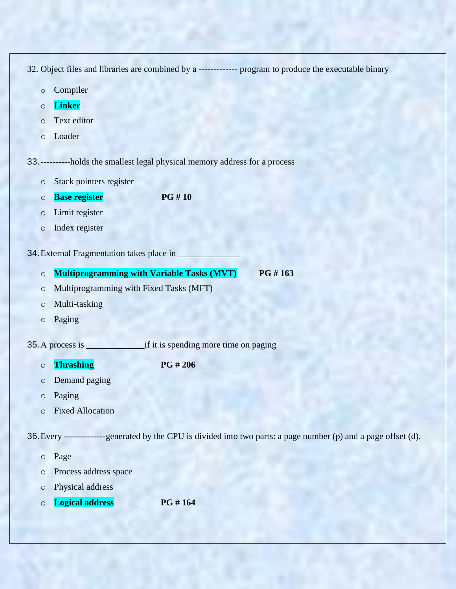32. Object files and libraries are combined by a ------------- program to produce the executable binary

- o Compiler
- o **Linker**
- o Text editor
- o Loader

33.----------holds the smallest legal physical memory address for a process

- o Stack pointers register
- o **Base register PG # 10**
- o Limit register
- o Index register

34. External Fragmentation takes place in

- o **Multiprogramming with Variable Tasks (MVT) PG # 163**
- o Multiprogramming with Fixed Tasks (MFT)
- o Multi-tasking
- o Paging
- 35.A process is \_\_\_\_\_\_\_\_\_\_\_\_\_if it is spending more time on paging

o **Thrashing PG # 206**

- o Demand paging
- o Paging
- o Fixed Allocation

36.Every --------------generated by the CPU is divided into two parts: a page number (p) and a page offset (d).

- o Page
- o Process address space
- o Physical address
- o **Logical address PG # 164**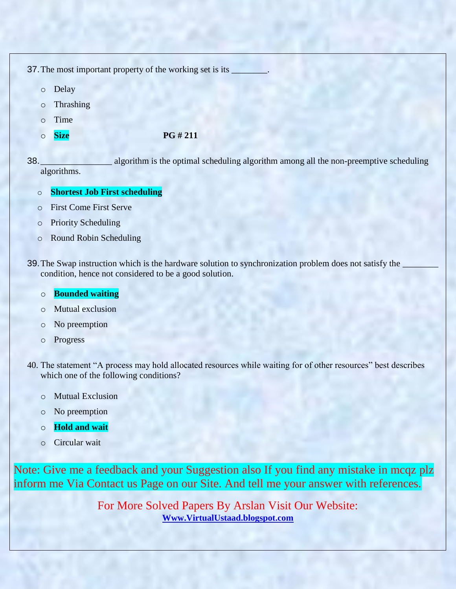37. The most important property of the working set is its  $\overline{\phantom{a}}$ 

- o Delay
- o Thrashing
- o Time
- 

### o **Size PG # 211**

38.\_\_\_\_\_\_\_\_\_\_\_\_\_\_\_\_ algorithm is the optimal scheduling algorithm among all the non-preemptive scheduling algorithms.

# o **Shortest Job First scheduling**

- o First Come First Serve
- o Priority Scheduling
- o Round Robin Scheduling
- 39. The Swap instruction which is the hardware solution to synchronization problem does not satisfy the condition, hence not considered to be a good solution.

## o **Bounded waiting**

- o Mutual exclusion
- o No preemption
- o Progress
- 40. The statement "A process may hold allocated resources while waiting for of other resources" best describes which one of the following conditions?
	- o Mutual Exclusion
	- o No preemption
	- o **Hold and wait**
	- o Circular wait

Note: Give me a feedback and your Suggestion also If you find any mistake in mcqz plz inform me Via Contact us Page on our Site. And tell me your answer with references.

> For More Solved Papers By Arslan Visit Our Website: **[Www.VirtualUstaad.blogspot.com](http://www.virtualustaad.blogspot.com/)**